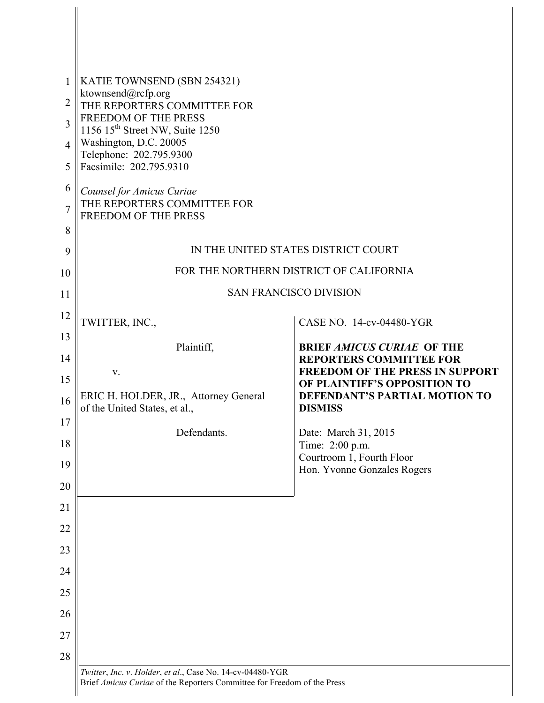| 1              | KATIE TOWNSEND (SBN 254321)                                             |                                                                          |
|----------------|-------------------------------------------------------------------------|--------------------------------------------------------------------------|
| $\overline{2}$ | ktownsend@rcfp.org<br>THE REPORTERS COMMITTEE FOR                       |                                                                          |
| 3              | FREEDOM OF THE PRESS<br>1156 15 <sup>th</sup> Street NW, Suite 1250     |                                                                          |
| 4              | Washington, D.C. 20005                                                  |                                                                          |
| 5              | Telephone: 202.795.9300<br>Facsimile: 202.795.9310                      |                                                                          |
| 6              | Counsel for Amicus Curiae                                               |                                                                          |
| $\overline{7}$ | THE REPORTERS COMMITTEE FOR<br><b>FREEDOM OF THE PRESS</b>              |                                                                          |
| 8              |                                                                         |                                                                          |
| 9              | IN THE UNITED STATES DISTRICT COURT                                     |                                                                          |
| 10             | FOR THE NORTHERN DISTRICT OF CALIFORNIA                                 |                                                                          |
| 11             | <b>SAN FRANCISCO DIVISION</b>                                           |                                                                          |
| 12             | TWITTER, INC.,                                                          | CASE NO. 14-cv-04480-YGR                                                 |
| 13             | Plaintiff,                                                              | <b>BRIEF AMICUS CURIAE OF THE</b>                                        |
| 14             |                                                                         | <b>REPORTERS COMMITTEE FOR</b><br><b>FREEDOM OF THE PRESS IN SUPPORT</b> |
| 15             | V.                                                                      | OF PLAINTIFF'S OPPOSITION TO                                             |
| 16             | ERIC H. HOLDER, JR., Attorney General<br>of the United States, et al.,  | DEFENDANT'S PARTIAL MOTION TO<br><b>DISMISS</b>                          |
| 17             | Defendants.                                                             | Date: March 31, 2015                                                     |
| 18             |                                                                         | Time: 2:00 p.m.<br>Courtroom 1, Fourth Floor                             |
| 19             |                                                                         | Hon. Yvonne Gonzales Rogers                                              |
| 20             |                                                                         |                                                                          |
| 21             |                                                                         |                                                                          |
| 22             |                                                                         |                                                                          |
| 23             |                                                                         |                                                                          |
| 24             |                                                                         |                                                                          |
| 25             |                                                                         |                                                                          |
| 26             |                                                                         |                                                                          |
| 27             |                                                                         |                                                                          |
| 28             | Twitter, Inc. v. Holder, et al., Case No. 14-cv-04480-YGR               |                                                                          |
|                | Brief Amicus Curiae of the Reporters Committee for Freedom of the Press |                                                                          |

 $\Big\}$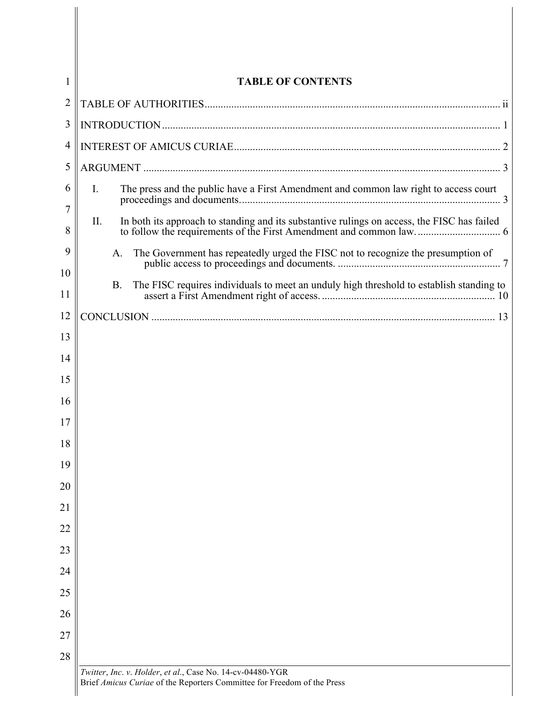| 1       | <b>TABLE OF CONTENTS</b>                                                                                                             |  |  |
|---------|--------------------------------------------------------------------------------------------------------------------------------------|--|--|
| 2       |                                                                                                                                      |  |  |
| 3       |                                                                                                                                      |  |  |
| 4       |                                                                                                                                      |  |  |
| 5       |                                                                                                                                      |  |  |
| 6<br>7  | The press and the public have a First Amendment and common law right to access court<br>$\mathbf{I}$ .                               |  |  |
| 8       | In both its approach to standing and its substantive rulings on access, the FISC has failed<br>II.                                   |  |  |
| 9<br>10 | The Government has repeatedly urged the FISC not to recognize the presumption of<br>A.                                               |  |  |
| 11      | The FISC requires individuals to meet an unduly high threshold to establish standing to<br><b>B.</b>                                 |  |  |
| 12      |                                                                                                                                      |  |  |
| 13      |                                                                                                                                      |  |  |
| 14      |                                                                                                                                      |  |  |
| 15      |                                                                                                                                      |  |  |
| 16      |                                                                                                                                      |  |  |
| 17      |                                                                                                                                      |  |  |
| 18      |                                                                                                                                      |  |  |
| 19      |                                                                                                                                      |  |  |
| 20      |                                                                                                                                      |  |  |
| 21      |                                                                                                                                      |  |  |
| 22      |                                                                                                                                      |  |  |
| 23      |                                                                                                                                      |  |  |
| 24      |                                                                                                                                      |  |  |
| 25      |                                                                                                                                      |  |  |
| 26      |                                                                                                                                      |  |  |
| 27      |                                                                                                                                      |  |  |
| 28      |                                                                                                                                      |  |  |
|         | Twitter, Inc. v. Holder, et al., Case No. 14-cv-04480-YGR<br>Brief Amicus Curiae of the Reporters Committee for Freedom of the Press |  |  |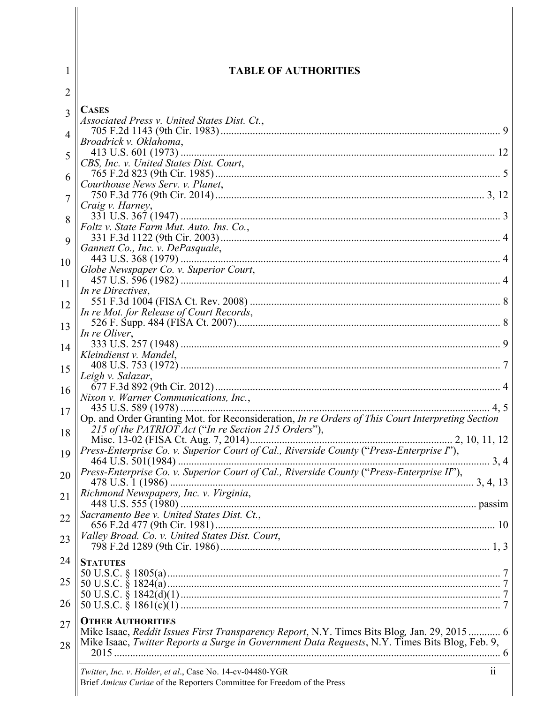| 1                           | <b>TABLE OF AUTHORITIES</b>                                                                                                                                                                  |
|-----------------------------|----------------------------------------------------------------------------------------------------------------------------------------------------------------------------------------------|
| $\overline{2}$              |                                                                                                                                                                                              |
| 3                           | <b>CASES</b><br>Associated Press v. United States Dist. Ct.,                                                                                                                                 |
| $\boldsymbol{\vartriangle}$ | Broadrick v. Oklahoma,                                                                                                                                                                       |
| 5                           | CBS, Inc. v. United States Dist. Court,                                                                                                                                                      |
| 6                           |                                                                                                                                                                                              |
| $\overline{7}$              | Courthouse News Serv. v. Planet,<br>Craig v. Harney,                                                                                                                                         |
| 8                           |                                                                                                                                                                                              |
| $\mathbf Q$                 | Foltz v. State Farm Mut. Auto. Ins. Co.,                                                                                                                                                     |
|                             | Gannett Co., Inc. v. DePasquale,                                                                                                                                                             |
| 10                          | Globe Newspaper Co. v. Superior Court,                                                                                                                                                       |
| 11                          | In re Directives,                                                                                                                                                                            |
| 12                          | In re Mot. for Release of Court Records,                                                                                                                                                     |
| 13                          | In re Oliver,                                                                                                                                                                                |
| 14                          | Kleindienst v. Mandel,                                                                                                                                                                       |
| 15                          |                                                                                                                                                                                              |
| 16                          | Leigh v. Salazar,                                                                                                                                                                            |
|                             | Nixon v. Warner Communications, Inc.,                                                                                                                                                        |
| 17<br>18                    | Op. and Order Granting Mot. for Reconsideration, In re Orders of This Court Interpreting Section<br>215 of the PATRIOT Act ("In re Section 215 Orders"),                                     |
|                             |                                                                                                                                                                                              |
| 19                          | Press-Enterprise Co. v. Superior Court of Cal., Riverside County ("Press-Enterprise I"),                                                                                                     |
| 20                          | Press-Enterprise Co. v. Superior Court of Cal., Riverside County ("Press-Enterprise II"),                                                                                                    |
| 21                          | Richmond Newspapers, Inc. v. Virginia,                                                                                                                                                       |
| 22                          | Sacramento Bee v. United States Dist. Ct.,                                                                                                                                                   |
| 23                          | Valley Broad. Co. v. United States Dist. Court,                                                                                                                                              |
| 24                          | <b>STATUTES</b>                                                                                                                                                                              |
| 25                          |                                                                                                                                                                                              |
| 26                          |                                                                                                                                                                                              |
| 27                          | <b>OTHER AUTHORITIES</b>                                                                                                                                                                     |
| 28                          | Mike Isaac, Reddit Issues First Transparency Report, N.Y. Times Bits Blog, Jan. 29, 2015 6<br>Mike Isaac, Twitter Reports a Surge in Government Data Requests, N.Y. Times Bits Blog, Feb. 9, |
|                             | $\overline{\textbf{ii}}$                                                                                                                                                                     |
|                             | Twitter, Inc. v. Holder, et al., Case No. 14-cv-04480-YGR<br>Brief Amicus Curiae of the Reporters Committee for Freedom of the Press                                                         |

 $\overline{\phantom{a}}$ 

 $\parallel$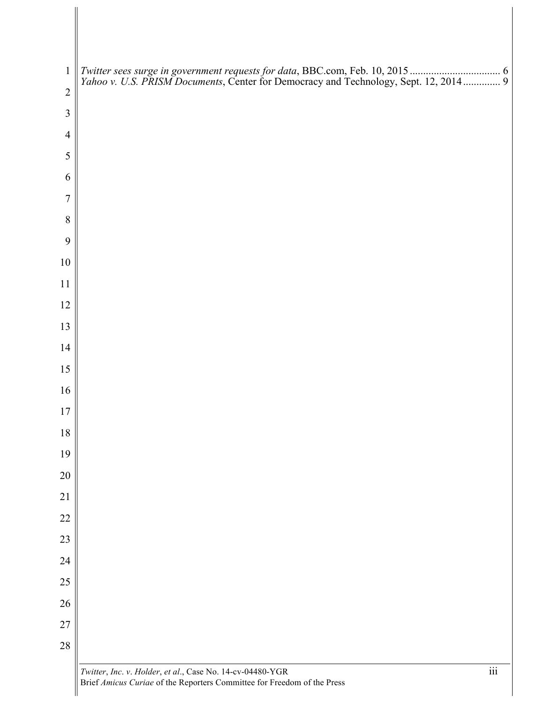| $\mathbf{1}$   |  |
|----------------|--|
| $\overline{2}$ |  |
| $\mathfrak{Z}$ |  |
| $\overline{4}$ |  |
| $\mathfrak{S}$ |  |
| 6              |  |
| $\overline{7}$ |  |
| $8\,$          |  |
| 9              |  |
| 10             |  |
| 11             |  |
| 12             |  |
| 13             |  |
| 14             |  |
| 15             |  |
| 16             |  |
| 17             |  |
| $18\,$         |  |
| 19             |  |
| $20\,$         |  |
| 21             |  |
| $22\,$         |  |
| $23\,$         |  |
| $24\,$         |  |
| $25\,$         |  |
| $26\,$         |  |
| $27\,$         |  |
| 28             |  |
|                |  |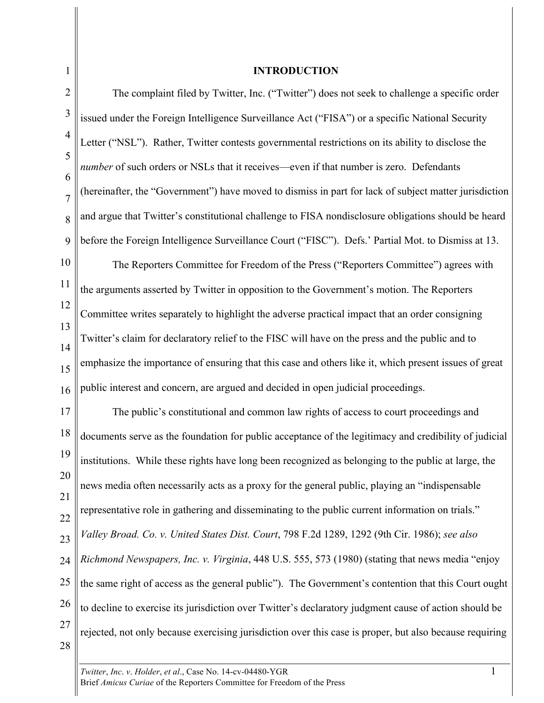#### **INTRODUCTION**

2 3 4 5 6 7 8 9 The complaint filed by Twitter, Inc. ("Twitter") does not seek to challenge a specific order issued under the Foreign Intelligence Surveillance Act ("FISA") or a specific National Security Letter ("NSL"). Rather, Twitter contests governmental restrictions on its ability to disclose the *number* of such orders or NSLs that it receives—even if that number is zero. Defendants (hereinafter, the "Government") have moved to dismiss in part for lack of subject matter jurisdiction and argue that Twitter's constitutional challenge to FISA nondisclosure obligations should be heard before the Foreign Intelligence Surveillance Court ("FISC"). Defs.' Partial Mot. to Dismiss at 13.

10 11 12 13 14 15 16 The Reporters Committee for Freedom of the Press ("Reporters Committee") agrees with the arguments asserted by Twitter in opposition to the Government's motion. The Reporters Committee writes separately to highlight the adverse practical impact that an order consigning Twitter's claim for declaratory relief to the FISC will have on the press and the public and to emphasize the importance of ensuring that this case and others like it, which present issues of great public interest and concern, are argued and decided in open judicial proceedings.

17 18 19 20 21 22 23 24 25 26 27 28 The public's constitutional and common law rights of access to court proceedings and documents serve as the foundation for public acceptance of the legitimacy and credibility of judicial institutions. While these rights have long been recognized as belonging to the public at large, the news media often necessarily acts as a proxy for the general public, playing an "indispensable representative role in gathering and disseminating to the public current information on trials." *Valley Broad. Co. v. United States Dist. Court*, 798 F.2d 1289, 1292 (9th Cir. 1986); *see also Richmond Newspapers, Inc. v. Virginia*, 448 U.S. 555, 573 (1980) (stating that news media "enjoy the same right of access as the general public"). The Government's contention that this Court ought to decline to exercise its jurisdiction over Twitter's declaratory judgment cause of action should be rejected, not only because exercising jurisdiction over this case is proper, but also because requiring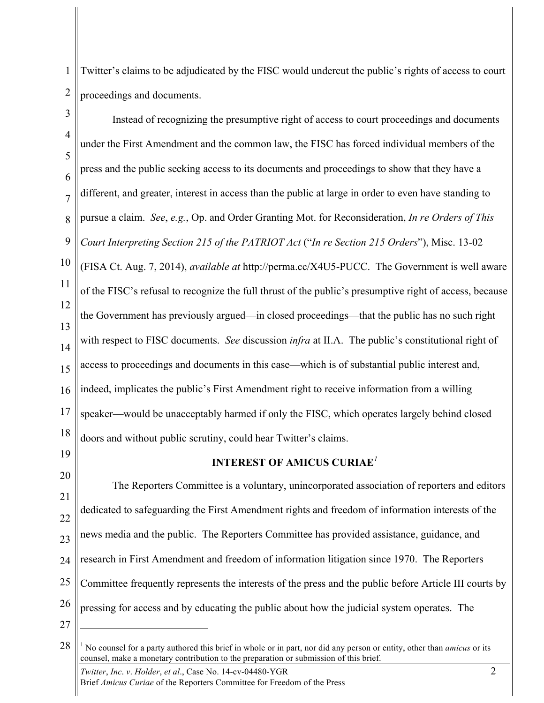1 2 Twitter's claims to be adjudicated by the FISC would undercut the public's rights of access to court proceedings and documents.

3 4 5 6 7 8 9 10 11 12 13 14 15 16 17 18 Instead of recognizing the presumptive right of access to court proceedings and documents under the First Amendment and the common law, the FISC has forced individual members of the press and the public seeking access to its documents and proceedings to show that they have a different, and greater, interest in access than the public at large in order to even have standing to pursue a claim. *See*, *e.g.*, Op. and Order Granting Mot. for Reconsideration, *In re Orders of This Court Interpreting Section 215 of the PATRIOT Act* ("*In re Section 215 Orders*"), Misc. 13-02 (FISA Ct. Aug. 7, 2014), *available at* http://perma.cc/X4U5-PUCC. The Government is well aware of the FISC's refusal to recognize the full thrust of the public's presumptive right of access, because the Government has previously argued––in closed proceedings––that the public has no such right with respect to FISC documents. *See* discussion *infra* at II.A. The public's constitutional right of access to proceedings and documents in this case—which is of substantial public interest and, indeed, implicates the public's First Amendment right to receive information from a willing speaker—would be unacceptably harmed if only the FISC, which operates largely behind closed doors and without public scrutiny, could hear Twitter's claims.

19

### **INTEREST OF AMICUS CURIAE***<sup>1</sup>*

20 21 22 23 24 25 26 The Reporters Committee is a voluntary, unincorporated association of reporters and editors dedicated to safeguarding the First Amendment rights and freedom of information interests of the news media and the public. The Reporters Committee has provided assistance, guidance, and research in First Amendment and freedom of information litigation since 1970. The Reporters Committee frequently represents the interests of the press and the public before Article III courts by pressing for access and by educating the public about how the judicial system operates. The

27

 $\overline{a}$ 

*Twitter, Inc. v. Holder, et al., Case No.* 14-cv-04480-YGR 2 Brief *Amicus Curiae* of the Reporters Committee for Freedom of the Press

<sup>28</sup> <sup>1</sup> No counsel for a party authored this brief in whole or in part, nor did any person or entity, other than *amicus* or its counsel, make a monetary contribution to the preparation or submission of this brief.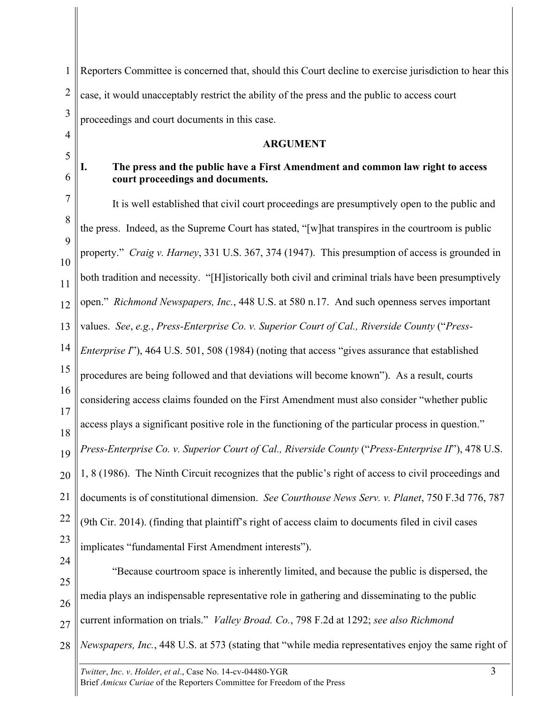*Twitter, Inc. v. Holder, et al., Case No.* 14-cv-04480-YGR 3 1 2 3 4 5 6 7 8 9 10 11 12 13 14 15 16 17 18 19 20 21 22 23 24 25 26 27 28 Reporters Committee is concerned that, should this Court decline to exercise jurisdiction to hear this case, it would unacceptably restrict the ability of the press and the public to access court proceedings and court documents in this case. **ARGUMENT I. The press and the public have a First Amendment and common law right to access court proceedings and documents.** It is well established that civil court proceedings are presumptively open to the public and the press. Indeed, as the Supreme Court has stated, "[w]hat transpires in the courtroom is public property." *Craig v. Harney*, 331 U.S. 367, 374 (1947). This presumption of access is grounded in both tradition and necessity. "[H]istorically both civil and criminal trials have been presumptively open." *Richmond Newspapers, Inc.*, 448 U.S. at 580 n.17. And such openness serves important values. *See*, *e.g.*, *Press-Enterprise Co. v. Superior Court of Cal., Riverside County* ("*Press-Enterprise I*"), 464 U.S. 501, 508 (1984) (noting that access "gives assurance that established procedures are being followed and that deviations will become known"). As a result, courts considering access claims founded on the First Amendment must also consider "whether public access plays a significant positive role in the functioning of the particular process in question." *Press-Enterprise Co. v. Superior Court of Cal., Riverside County* ("*Press-Enterprise II*"), 478 U.S. 1, 8 (1986). The Ninth Circuit recognizes that the public's right of access to civil proceedings and documents is of constitutional dimension. *See Courthouse News Serv. v. Planet*, 750 F.3d 776, 787 (9th Cir. 2014). (finding that plaintiff's right of access claim to documents filed in civil cases implicates "fundamental First Amendment interests"). "Because courtroom space is inherently limited, and because the public is dispersed, the media plays an indispensable representative role in gathering and disseminating to the public current information on trials." *Valley Broad. Co.*, 798 F.2d at 1292; *see also Richmond Newspapers, Inc.*, 448 U.S. at 573 (stating that "while media representatives enjoy the same right of

Brief *Amicus Curiae* of the Reporters Committee for Freedom of the Press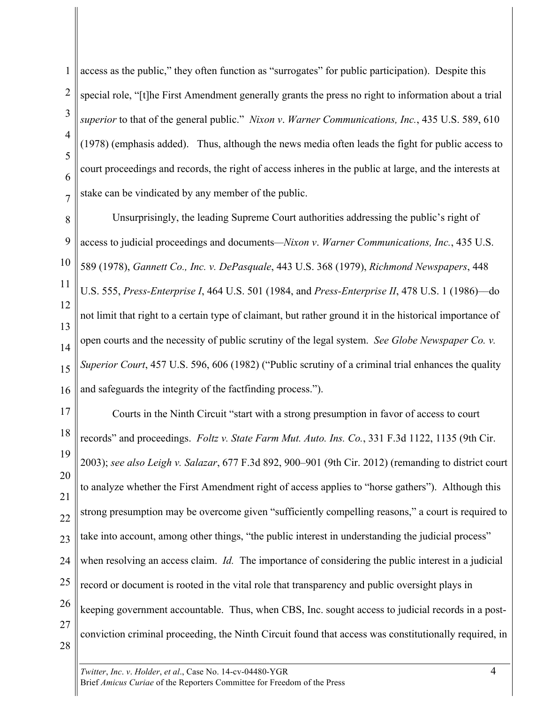1 2 3 4 5 6 7 access as the public," they often function as "surrogates" for public participation). Despite this special role, "[t]he First Amendment generally grants the press no right to information about a trial *superior* to that of the general public." *Nixon v*. *Warner Communications, Inc.*, 435 U.S. 589, 610 (1978) (emphasis added). Thus, although the news media often leads the fight for public access to court proceedings and records, the right of access inheres in the public at large, and the interests at stake can be vindicated by any member of the public.

8 9 10 11 12 13 14 15 16 Unsurprisingly, the leading Supreme Court authorities addressing the public's right of access to judicial proceedings and documents*—Nixon v*. *Warner Communications, Inc.*, 435 U.S. 589 (1978), *Gannett Co., Inc. v. DePasquale*, 443 U.S. 368 (1979), *Richmond Newspapers*, 448 U.S. 555, *Press-Enterprise I*, 464 U.S. 501 (1984, and *Press-Enterprise II*, 478 U.S. 1 (1986)––do not limit that right to a certain type of claimant, but rather ground it in the historical importance of open courts and the necessity of public scrutiny of the legal system. *See Globe Newspaper Co. v. Superior Court*, 457 U.S. 596, 606 (1982) ("Public scrutiny of a criminal trial enhances the quality and safeguards the integrity of the factfinding process.").

17 18 19 20 21 22 23 24 25 26 27 Courts in the Ninth Circuit "start with a strong presumption in favor of access to court records" and proceedings. *Foltz v. State Farm Mut. Auto. Ins. Co.*, 331 F.3d 1122, 1135 (9th Cir. 2003); *see also Leigh v. Salazar*, 677 F.3d 892, 900–901 (9th Cir. 2012) (remanding to district court to analyze whether the First Amendment right of access applies to "horse gathers"). Although this strong presumption may be overcome given "sufficiently compelling reasons," a court is required to take into account, among other things, "the public interest in understanding the judicial process" when resolving an access claim. *Id.* The importance of considering the public interest in a judicial record or document is rooted in the vital role that transparency and public oversight plays in keeping government accountable. Thus, when CBS, Inc. sought access to judicial records in a postconviction criminal proceeding, the Ninth Circuit found that access was constitutionally required, in

28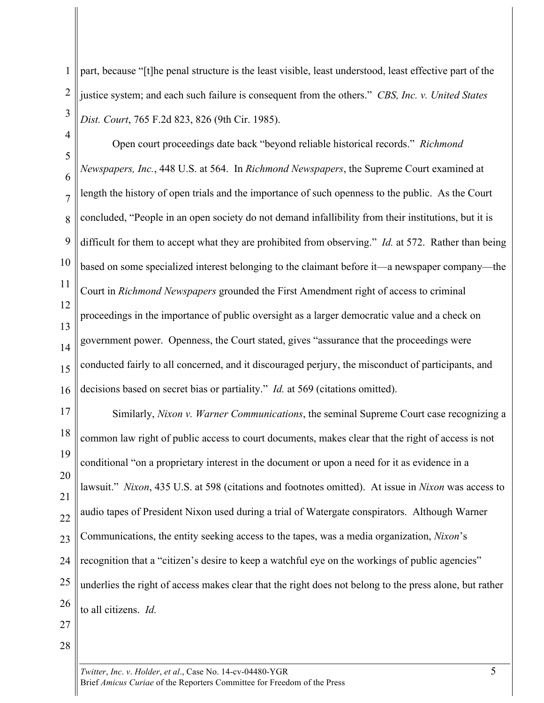1 2 3 part, because "[t]he penal structure is the least visible, least understood, least effective part of the justice system; and each such failure is consequent from the others." *CBS, Inc. v. United States Dist. Court*, 765 F.2d 823, 826 (9th Cir. 1985).

4 5 6 7 8 9 10 11 12 13 14 15 16 Open court proceedings date back "beyond reliable historical records." *Richmond Newspapers, Inc.*, 448 U.S. at 564. In *Richmond Newspapers*, the Supreme Court examined at length the history of open trials and the importance of such openness to the public. As the Court concluded, "People in an open society do not demand infallibility from their institutions, but it is difficult for them to accept what they are prohibited from observing." *Id.* at 572. Rather than being based on some specialized interest belonging to the claimant before it—a newspaper company—the Court in *Richmond Newspapers* grounded the First Amendment right of access to criminal proceedings in the importance of public oversight as a larger democratic value and a check on government power. Openness, the Court stated, gives "assurance that the proceedings were conducted fairly to all concerned, and it discouraged perjury, the misconduct of participants, and decisions based on secret bias or partiality." *Id.* at 569 (citations omitted).

17 18 19 20 21 22 23 24 25 26 Similarly, *Nixon v. Warner Communications*, the seminal Supreme Court case recognizing a common law right of public access to court documents, makes clear that the right of access is not conditional "on a proprietary interest in the document or upon a need for it as evidence in a lawsuit." *Nixon*, 435 U.S. at 598 (citations and footnotes omitted). At issue in *Nixon* was access to audio tapes of President Nixon used during a trial of Watergate conspirators. Although Warner Communications, the entity seeking access to the tapes, was a media organization, *Nixon*'s recognition that a "citizen's desire to keep a watchful eye on the workings of public agencies" underlies the right of access makes clear that the right does not belong to the press alone, but rather to all citizens. *Id.*

- 27
- 28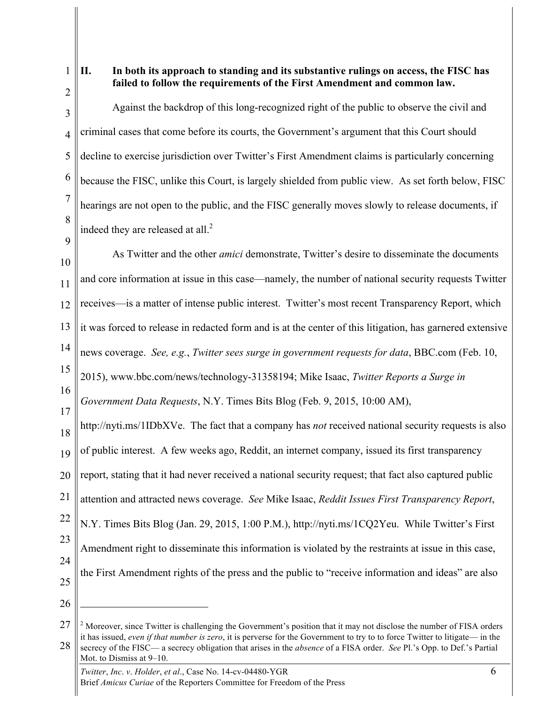1 2

### **II. In both its approach to standing and its substantive rulings on access, the FISC has failed to follow the requirements of the First Amendment and common law.**

3 4 5 6 7 8 Against the backdrop of this long-recognized right of the public to observe the civil and criminal cases that come before its courts, the Government's argument that this Court should decline to exercise jurisdiction over Twitter's First Amendment claims is particularly concerning because the FISC, unlike this Court, is largely shielded from public view. As set forth below, FISC hearings are not open to the public, and the FISC generally moves slowly to release documents, if indeed they are released at all. $<sup>2</sup>$ </sup>

9

10 11 12 13 14 15 16 17 18 19 20 21 22 23 24 As Twitter and the other *amici* demonstrate, Twitter's desire to disseminate the documents and core information at issue in this case—namely, the number of national security requests Twitter receives—is a matter of intense public interest. Twitter's most recent Transparency Report, which it was forced to release in redacted form and is at the center of this litigation, has garnered extensive news coverage. *See, e.g.*, *Twitter sees surge in government requests for data*, BBC.com (Feb. 10, 2015), www.bbc.com/news/technology-31358194; Mike Isaac, *Twitter Reports a Surge in Government Data Requests*, N.Y. Times Bits Blog (Feb. 9, 2015, 10:00 AM), http://nyti.ms/1IDbXVe. The fact that a company has *not* received national security requests is also of public interest. A few weeks ago, Reddit, an internet company, issued its first transparency report, stating that it had never received a national security request; that fact also captured public attention and attracted news coverage. *See* Mike Isaac, *Reddit Issues First Transparency Report*, N.Y. Times Bits Blog (Jan. 29, 2015, 1:00 P.M.), http://nyti.ms/1CQ2Yeu. While Twitter's First Amendment right to disseminate this information is violated by the restraints at issue in this case, the First Amendment rights of the press and the public to "receive information and ideas" are also

- 25
- 26

 $\overline{a}$ 

<sup>27</sup> 28 <sup>2</sup> Moreover, since Twitter is challenging the Government's position that it may not disclose the number of FISA orders it has issued, *even if that number is zero*, it is perverse for the Government to try to to force Twitter to litigate— in the secrecy of the FISC— a secrecy obligation that arises in the *absence* of a FISA order. *See* Pl.'s Opp. to Def.'s Partial Mot. to Dismiss at 9–10.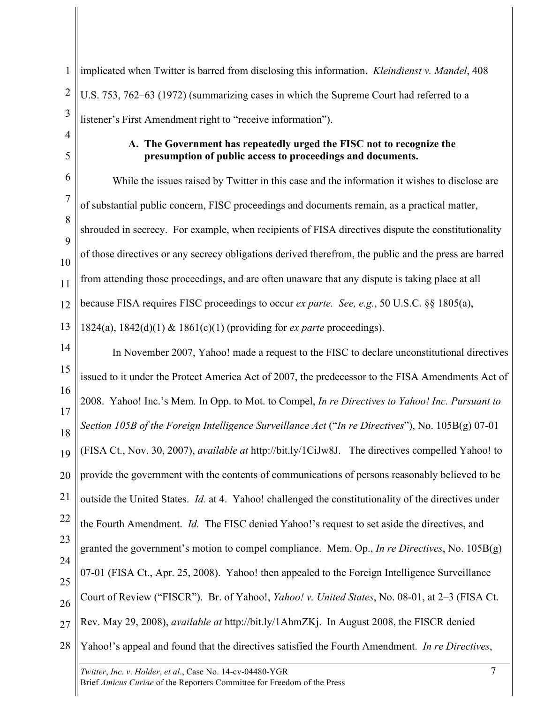1 2 3 implicated when Twitter is barred from disclosing this information. *Kleindienst v. Mandel*, 408 U.S. 753, 762–63 (1972) (summarizing cases in which the Supreme Court had referred to a listener's First Amendment right to "receive information").

4 5

# **A. The Government has repeatedly urged the FISC not to recognize the presumption of public access to proceedings and documents.**

6 7 8 9 10 11 12 13 While the issues raised by Twitter in this case and the information it wishes to disclose are of substantial public concern, FISC proceedings and documents remain, as a practical matter, shrouded in secrecy. For example, when recipients of FISA directives dispute the constitutionality of those directives or any secrecy obligations derived therefrom, the public and the press are barred from attending those proceedings, and are often unaware that any dispute is taking place at all because FISA requires FISC proceedings to occur *ex parte. See, e.g.*, 50 U.S.C. §§ 1805(a), 1824(a), 1842(d)(1) & 1861(c)(1) (providing for *ex parte* proceedings).

14 15 16 17 18 19 20 21 22 23 24 25 26 27 28 In November 2007, Yahoo! made a request to the FISC to declare unconstitutional directives issued to it under the Protect America Act of 2007, the predecessor to the FISA Amendments Act of 2008. Yahoo! Inc.'s Mem. In Opp. to Mot. to Compel, *In re Directives to Yahoo! Inc. Pursuant to Section 105B of the Foreign Intelligence Surveillance Act* ("*In re Directives*"), No. 105B(g) 07-01 (FISA Ct., Nov. 30, 2007), *available at* http://bit.ly/1CiJw8J. The directives compelled Yahoo! to provide the government with the contents of communications of persons reasonably believed to be outside the United States. *Id.* at 4. Yahoo! challenged the constitutionality of the directives under the Fourth Amendment. *Id.* The FISC denied Yahoo!'s request to set aside the directives, and granted the government's motion to compel compliance. Mem. Op., *In re Directives*, No. 105B(g) 07-01 (FISA Ct., Apr. 25, 2008).Yahoo! then appealed to the Foreign Intelligence Surveillance Court of Review ("FISCR"). Br. of Yahoo!, *Yahoo! v. United States*, No. 08-01, at 2–3 (FISA Ct. Rev. May 29, 2008), *available at* http://bit.ly/1AhmZKj. In August 2008, the FISCR denied Yahoo!'s appeal and found that the directives satisfied the Fourth Amendment. *In re Directives*,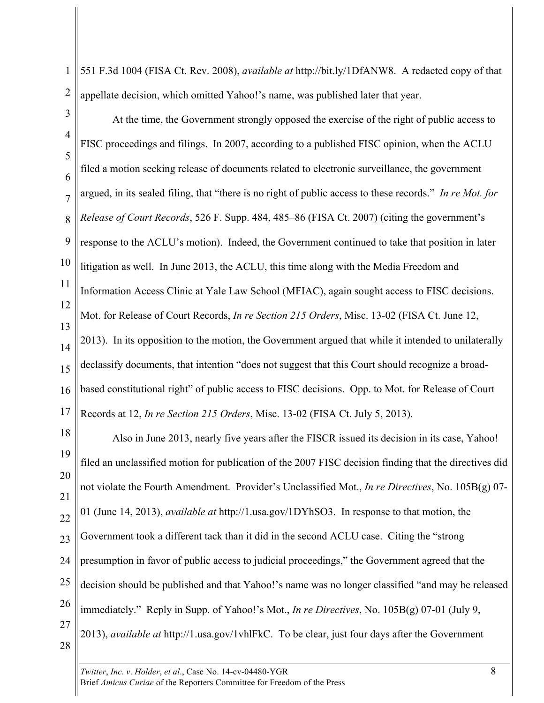1 2 551 F.3d 1004 (FISA Ct. Rev. 2008), *available at* http://bit.ly/1DfANW8. A redacted copy of that appellate decision, which omitted Yahoo!'s name, was published later that year.

- 3 4 5 6 7 8 9 10 11 12 13 14 15 16 17 At the time, the Government strongly opposed the exercise of the right of public access to FISC proceedings and filings. In 2007, according to a published FISC opinion, when the ACLU filed a motion seeking release of documents related to electronic surveillance, the government argued, in its sealed filing, that "there is no right of public access to these records." *In re Mot. for Release of Court Records*, 526 F. Supp. 484, 485–86 (FISA Ct. 2007) (citing the government's response to the ACLU's motion). Indeed, the Government continued to take that position in later litigation as well. In June 2013, the ACLU, this time along with the Media Freedom and Information Access Clinic at Yale Law School (MFIAC), again sought access to FISC decisions. Mot. for Release of Court Records, *In re Section 215 Orders*, Misc. 13-02 (FISA Ct. June 12, 2013). In its opposition to the motion, the Government argued that while it intended to unilaterally declassify documents, that intention "does not suggest that this Court should recognize a broadbased constitutional right" of public access to FISC decisions. Opp. to Mot. for Release of Court Records at 12, *In re Section 215 Orders*, Misc. 13-02 (FISA Ct. July 5, 2013).
- 18 19 20 21 22 23 24 25 26 27 28 Also in June 2013, nearly five years after the FISCR issued its decision in its case, Yahoo! filed an unclassified motion for publication of the 2007 FISC decision finding that the directives did not violate the Fourth Amendment. Provider's Unclassified Mot., *In re Directives*, No. 105B(g) 07- 01 (June 14, 2013), *available at* http://1.usa.gov/1DYhSO3. In response to that motion, the Government took a different tack than it did in the second ACLU case. Citing the "strong presumption in favor of public access to judicial proceedings," the Government agreed that the decision should be published and that Yahoo!'s name was no longer classified "and may be released immediately." Reply in Supp. of Yahoo!'s Mot., *In re Directives*, No. 105B(g) 07-01 (July 9, 2013), *available at* http://1.usa.gov/1vhlFkC. To be clear, just four days after the Government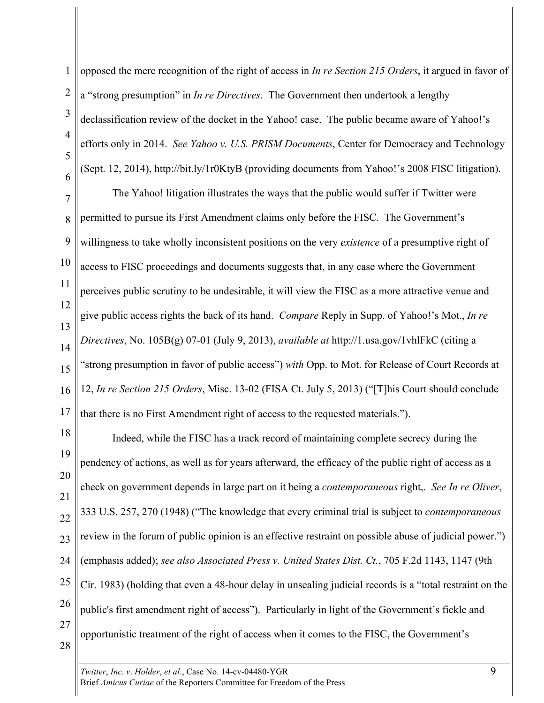1 2 3 4 5 6 opposed the mere recognition of the right of access in *In re Section 215 Orders*, it argued in favor of a "strong presumption" in *In re Directives*. The Government then undertook a lengthy declassification review of the docket in the Yahoo! case. The public became aware of Yahoo!'s efforts only in 2014. *See Yahoo v. U.S. PRISM Documents*, Center for Democracy and Technology (Sept. 12, 2014), http://bit.ly/1r0KtyB (providing documents from Yahoo!'s 2008 FISC litigation).

7 8 9 10 11 12 13 14 15 16 17 The Yahoo! litigation illustrates the ways that the public would suffer if Twitter were permitted to pursue its First Amendment claims only before the FISC. The Government's willingness to take wholly inconsistent positions on the very *existence* of a presumptive right of access to FISC proceedings and documents suggests that, in any case where the Government perceives public scrutiny to be undesirable, it will view the FISC as a more attractive venue and give public access rights the back of its hand. *Compare* Reply in Supp. of Yahoo!'s Mot., *In re Directives*, No. 105B(g) 07-01 (July 9, 2013), *available at* http://1.usa.gov/1vhlFkC (citing a "strong presumption in favor of public access") *with* Opp. to Mot. for Release of Court Records at 12, *In re Section 215 Orders*, Misc. 13-02 (FISA Ct. July 5, 2013) ("[T]his Court should conclude that there is no First Amendment right of access to the requested materials.").

18 19 20 21 22 23 24 25 26 27 28 Indeed, while the FISC has a track record of maintaining complete secrecy during the pendency of actions, as well as for years afterward, the efficacy of the public right of access as a check on government depends in large part on it being a *contemporaneous* right,. *See In re Oliver*, 333 U.S. 257, 270 (1948) ("The knowledge that every criminal trial is subject to *contemporaneous* review in the forum of public opinion is an effective restraint on possible abuse of judicial power.") (emphasis added); *see also Associated Press v. United States Dist. Ct.*, 705 F.2d 1143, 1147 (9th Cir. 1983) (holding that even a 48-hour delay in unsealing judicial records is a "total restraint on the public's first amendment right of access"). Particularly in light of the Government's fickle and opportunistic treatment of the right of access when it comes to the FISC, the Government's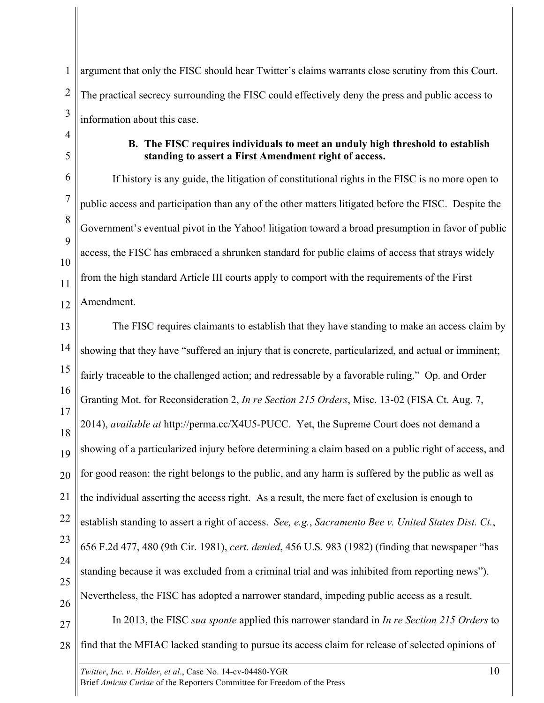1 2 3 argument that only the FISC should hear Twitter's claims warrants close scrutiny from this Court. The practical secrecy surrounding the FISC could effectively deny the press and public access to information about this case.

4 5

## **B. The FISC requires individuals to meet an unduly high threshold to establish standing to assert a First Amendment right of access.**

6 7 8 9 10 11 12 If history is any guide, the litigation of constitutional rights in the FISC is no more open to public access and participation than any of the other matters litigated before the FISC. Despite the Government's eventual pivot in the Yahoo! litigation toward a broad presumption in favor of public access, the FISC has embraced a shrunken standard for public claims of access that strays widely from the high standard Article III courts apply to comport with the requirements of the First Amendment.

13 14 15 16 17 18 19 20 21 22 23 24 25 26 27 28 The FISC requires claimants to establish that they have standing to make an access claim by showing that they have "suffered an injury that is concrete, particularized, and actual or imminent; fairly traceable to the challenged action; and redressable by a favorable ruling." Op. and Order Granting Mot. for Reconsideration 2, *In re Section 215 Orders*, Misc. 13-02 (FISA Ct. Aug. 7, 2014), *available at* http://perma.cc/X4U5-PUCC. Yet, the Supreme Court does not demand a showing of a particularized injury before determining a claim based on a public right of access, and for good reason: the right belongs to the public, and any harm is suffered by the public as well as the individual asserting the access right. As a result, the mere fact of exclusion is enough to establish standing to assert a right of access. *See, e.g.*, *Sacramento Bee v. United States Dist. Ct.*, 656 F.2d 477, 480 (9th Cir. 1981), *cert. denied*, 456 U.S. 983 (1982) (finding that newspaper "has standing because it was excluded from a criminal trial and was inhibited from reporting news"). Nevertheless, the FISC has adopted a narrower standard, impeding public access as a result. In 2013, the FISC *sua sponte* applied this narrower standard in *In re Section 215 Orders* to find that the MFIAC lacked standing to pursue its access claim for release of selected opinions of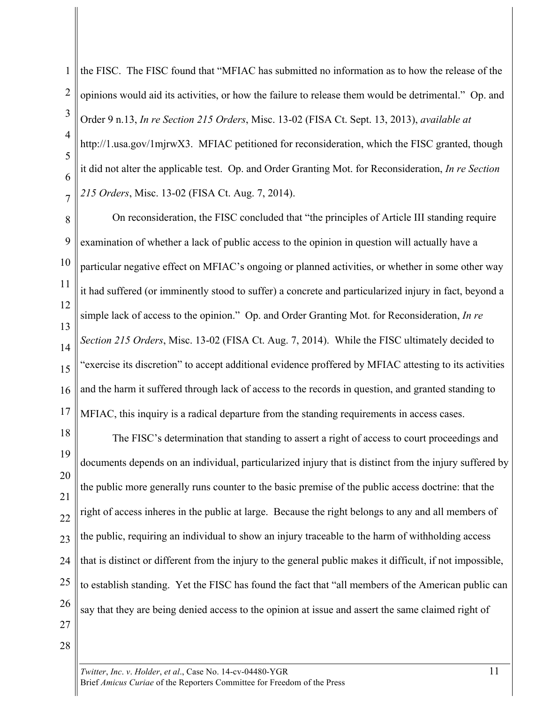1 2 3 4 5 6 the FISC. The FISC found that "MFIAC has submitted no information as to how the release of the opinions would aid its activities, or how the failure to release them would be detrimental." Op. and Order 9 n.13, *In re Section 215 Orders*, Misc. 13-02 (FISA Ct. Sept. 13, 2013), *available at*  http://1.usa.gov/1mjrwX3. MFIAC petitioned for reconsideration, which the FISC granted, though it did not alter the applicable test. Op. and Order Granting Mot. for Reconsideration, *In re Section 215 Orders*, Misc. 13-02 (FISA Ct. Aug. 7, 2014).

8 9 10 11 12 13 14 15 16 17 On reconsideration, the FISC concluded that "the principles of Article III standing require examination of whether a lack of public access to the opinion in question will actually have a particular negative effect on MFIAC's ongoing or planned activities, or whether in some other way it had suffered (or imminently stood to suffer) a concrete and particularized injury in fact, beyond a simple lack of access to the opinion." Op. and Order Granting Mot. for Reconsideration, *In re Section 215 Orders*, Misc. 13-02 (FISA Ct. Aug. 7, 2014). While the FISC ultimately decided to "exercise its discretion" to accept additional evidence proffered by MFIAC attesting to its activities and the harm it suffered through lack of access to the records in question, and granted standing to MFIAC, this inquiry is a radical departure from the standing requirements in access cases.

18 19 20 21 22 23 24 25 26 27 The FISC's determination that standing to assert a right of access to court proceedings and documents depends on an individual, particularized injury that is distinct from the injury suffered by the public more generally runs counter to the basic premise of the public access doctrine: that the right of access inheres in the public at large. Because the right belongs to any and all members of the public, requiring an individual to show an injury traceable to the harm of withholding access that is distinct or different from the injury to the general public makes it difficult, if not impossible, to establish standing. Yet the FISC has found the fact that "all members of the American public can say that they are being denied access to the opinion at issue and assert the same claimed right of

28

7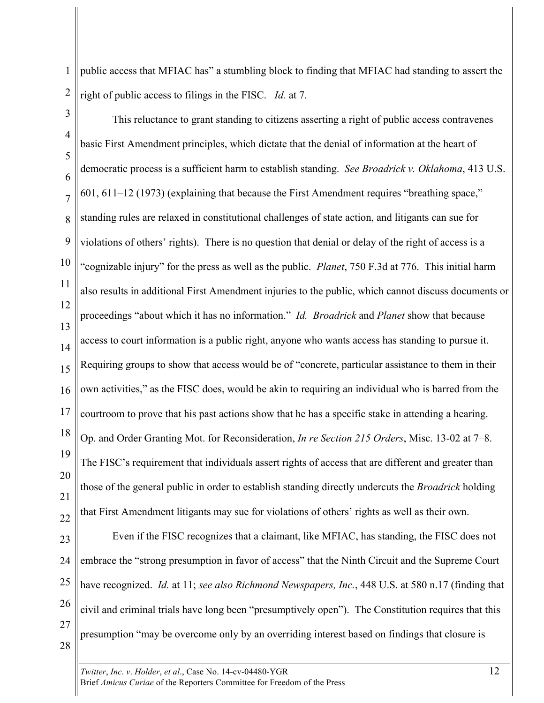1 2 public access that MFIAC has" a stumbling block to finding that MFIAC had standing to assert the right of public access to filings in the FISC. *Id.* at 7.

3 4 5 6 7 8 9 10 11 12 13 14 15 16 17 18 19 20 21 22 This reluctance to grant standing to citizens asserting a right of public access contravenes basic First Amendment principles, which dictate that the denial of information at the heart of democratic process is a sufficient harm to establish standing. *See Broadrick v. Oklahoma*, 413 U.S. 601, 611–12 (1973) (explaining that because the First Amendment requires "breathing space," standing rules are relaxed in constitutional challenges of state action, and litigants can sue for violations of others' rights). There is no question that denial or delay of the right of access is a "cognizable injury" for the press as well as the public. *Planet*, 750 F.3d at 776. This initial harm also results in additional First Amendment injuries to the public, which cannot discuss documents or proceedings "about which it has no information." *Id. Broadrick* and *Planet* show that because access to court information is a public right, anyone who wants access has standing to pursue it. Requiring groups to show that access would be of "concrete, particular assistance to them in their own activities," as the FISC does, would be akin to requiring an individual who is barred from the courtroom to prove that his past actions show that he has a specific stake in attending a hearing. Op. and Order Granting Mot. for Reconsideration, *In re Section 215 Orders*, Misc. 13-02 at 7–8. The FISC's requirement that individuals assert rights of access that are different and greater than those of the general public in order to establish standing directly undercuts the *Broadrick* holding that First Amendment litigants may sue for violations of others' rights as well as their own.

23 24 25 26 27 28 Even if the FISC recognizes that a claimant, like MFIAC, has standing, the FISC does not embrace the "strong presumption in favor of access" that the Ninth Circuit and the Supreme Court have recognized. *Id.* at 11; *see also Richmond Newspapers, Inc.*, 448 U.S. at 580 n.17 (finding that civil and criminal trials have long been "presumptively open"). The Constitution requires that this presumption "may be overcome only by an overriding interest based on findings that closure is

*Twitter*, *Inc. v. Holder, et al., Case No.* 14-cv-04480-YGR 12 Brief *Amicus Curiae* of the Reporters Committee for Freedom of the Press